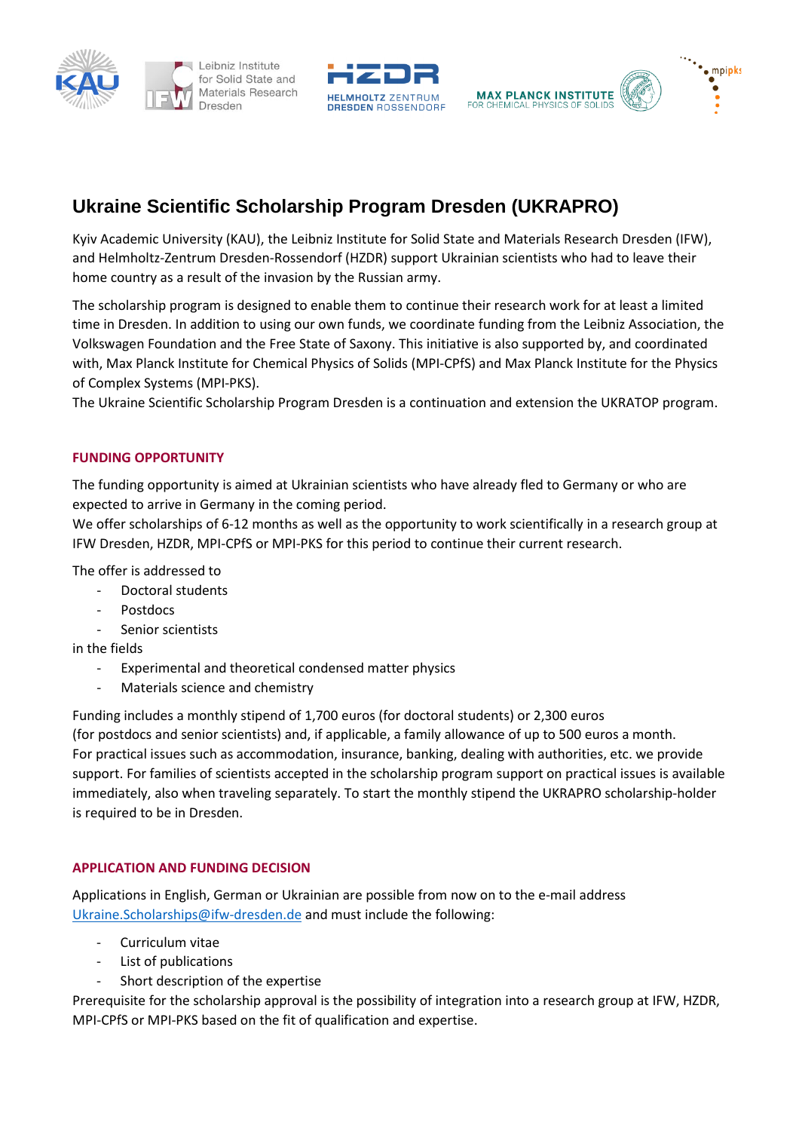





## **Ukraine Scientific Scholarship Program Dresden (UKRAPRO)**

Kyiv Academic University (KAU), the Leibniz Institute for Solid State and Materials Research Dresden (IFW), and Helmholtz-Zentrum Dresden-Rossendorf (HZDR) support Ukrainian scientists who had to leave their home country as a result of the invasion by the Russian army.

The scholarship program is designed to enable them to continue their research work for at least a limited time in Dresden. In addition to using our own funds, we coordinate funding from the Leibniz Association, the Volkswagen Foundation and the Free State of Saxony. This initiative is also supported by, and coordinated with, Max Planck Institute for Chemical Physics of Solids (MPI-CPfS) and Max Planck Institute for the Physics of Complex Systems (MPI-PKS).

The Ukraine Scientific Scholarship Program Dresden is a continuation and extension the UKRATOP program.

## **FUNDING OPPORTUNITY**

The funding opportunity is aimed at Ukrainian scientists who have already fled to Germany or who are expected to arrive in Germany in the coming period.

We offer scholarships of 6-12 months as well as the opportunity to work scientifically in a research group at IFW Dresden, HZDR, MPI-CPfS or MPI-PKS for this period to continue their current research.

The offer is addressed to

- Doctoral students
- **Postdocs**
- Senior scientists

in the fields

- Experimental and theoretical condensed matter physics
- Materials science and chemistry

Funding includes a monthly stipend of 1,700 euros (for doctoral students) or 2,300 euros (for postdocs and senior scientists) and, if applicable, a family allowance of up to 500 euros a month. For practical issues such as accommodation, insurance, banking, dealing with authorities, etc. we provide support. For families of scientists accepted in the scholarship program support on practical issues is available immediately, also when traveling separately. To start the monthly stipend the UKRAPRO scholarship-holder is required to be in Dresden.

## **APPLICATION AND FUNDING DECISION**

Applications in English, German or Ukrainian are possible from now on to the e-mail address [Ukraine.Scholarships@ifw-dresden.de](mailto:Ukraine.Scholarships@ifw-dresden.de) and must include the following:

- Curriculum vitae
- List of publications
- Short description of the expertise

Prerequisite for the scholarship approval is the possibility of integration into a research group at IFW, HZDR, MPI-CPfS or MPI-PKS based on the fit of qualification and expertise.